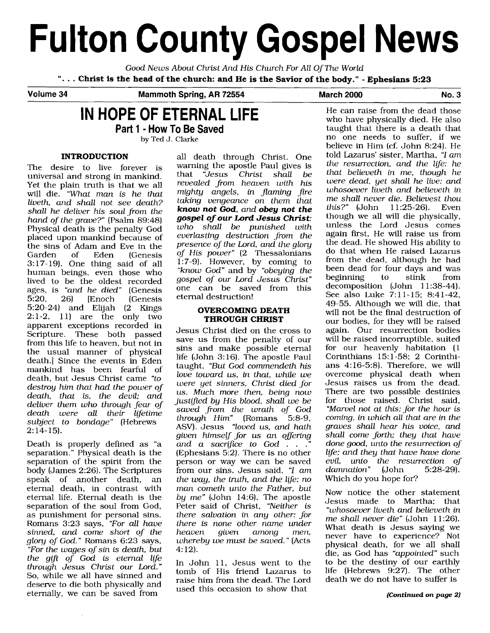# **Fulton County Gospel News**

*Good News About Christ And His Church For All Of The World* 

". . . **Christ is the head of the church: and He is the Savior of the body."** - **Ephesians 5:23** 

**Volume 34 Mammoth Spring, AR 72554 March 2000 No. 3** 

# **IN HOPE OF ETERNAL LIFE**

**Part 1** - **How To Be Saved** 

by Ted J. Clarke

#### **INTRODUCTION**

The desire to live forever is universal and strong in mankind. Yet the plain truth is that we all will die. *"What man is he that liveth, and shall not see death? shall he deliver his soul from the hand of the grave?"* (Psalm 89:48) Physical death is the penalty God placed upon mankind because of the sins of Adam and Eve in the<br>Garden of Eden (Genesis (Genesis 3: 17- 19). One thing said of all human beings, even those who lived to be the oldest recorded ages, is *"and he died"* (Genesis<br>5:20, 26) [Enoch (Genesis 5:20, 26) [Enoch (Genesis 5:20-24) and Elijah (2 Kings  $2:1-2$ , 11) are the only two apparent exceptions recorded in Scripture. These both passed from this life to heaven, but not in the usual manner of physical death.] Since the events in Eden mankind has been fearful of death, but Jesus Christ came *"to destroy him that had the power of death, that is, the devil; and deliver them who through fear of death were all their lifetime subject to bondage"* (Hebrews  $2:14-15$ .

Death is properly defined as "a separation." Physical death is the separation of the spirit from the body (James 2:26). The Scriptures speak of another death, an eternal death, in contrast with eternal life. Eternal death is the separation of the soul from God, as punishment for personal sins. Romans 3:23 says, *"For all have sinned, and come short of the glory of God."* Romans 6:23 says, *"For the wages of sin is death, but the gtft of God is eternal lije through Jesus Christ our Lord."*  So, while we all have sinned and deserve to die both physically and eternally, we can be saved from

all death through Christ. One warning the apostle Paul gives is<br>that "Jesus Christ shall be Christ shall *revealed from heaven with his mighty angels, in flaming fire taking vengeance on them that know not God, and obey not the gospel of our Lord Jesus Christ: who shall be punished with everlasting destruction from the presence of the Lord, and the glory of His power"* (2 Thessalonians 1:7-9). However, by coming to *"know God"* and by *"obeying the gospel of our Lord Jesus Christ"*  one can be saved from this eternal destruction!

## **OVERCOMING DEATH THROUGH CHRIST**

Jesus Christ died on the cross to save us from the penalty of our sins and make possible eternal life (John 3: 16). The apostle Paul taught, *"But God commendeth his love toward us,* **in** *that, while we were yet sinners, Christ died for us. Much more then, being now justified by His blood, shall we be saved from the wrath of God through Him"* (Romans 5:8-9, ASV). Jesus *"loved us, and hath given himself for us an offering*  and a sacrifice to God . . .<sup>"</sup> (Ephesians 5:2). There is no other person or way we can be saved from our sins. Jesus said, *"I am the way, the truth, and the life: no man cometh unto the Father, but by me"* (John 14:6). The apostle Peter said of Christ, *"Neither is there salvation in any other: for there is none other name under heaven given among men, whereby we must be saved."* (Acts 4: 12).

In John 11, Jesus went to the tomb of His friend Lazarus to raise him from the dead. The Lord used this occasion to show that

He can raise from the dead those who have physically died. He also taught that there is a death that no one needs to suffer, if we believe in Him (cf. John 8:24). He told Lazarus' sister, Martha, "I *am the resurrection, and the lije: he that believeth in me, though he were dead, yet shall he live: and whosoever liveth and believeth* **in**  *me shall never die. Believest thou this?"* (John though we all will die physically, unless the Lord Jesus comes again first, He will raise us from the dead. He showed His ability to do that when He raised Lazarus from the dead, although he had been dead for four days and was<br>beginning to stink from beginning decomposition (John 11:38-44). See also Luke 7:ll-15; 8:41-42, 49-55. Although we will die, that will not be the final destruction of our bodies, for they will be raised again. Our resurrection bodies will be raised incorruptible, suited for our heavenly habitation (1 Corinthians 15: 1-58; 2 Corinthians 4: 16-5:8). Therefore, we will overcome physical death when Jesus raises us from the dead. There are two possible destinies for those raised. Christ said, *"Marvel not at this: for the hour is coming, in which all that are in the graves shall hear his voice, and shall come forth; they that have done good, unto the resurrection of lije; and they that have have done evil,* unto the resurrection of damnation" (John 5:28-29).  $d$ amnation" Which do you hope for?

Now notice the other statement Jesus made to Martha; that *"whosoever liveth and believeth in me shall never die"* (John 11:26). What death is Jesus saying we never have to experience? Not physical death, for we all shall die, as God has *"appointed"* such to be the destiny of our earthly life (Hebrews 9:27). The other death we do not have to suffer is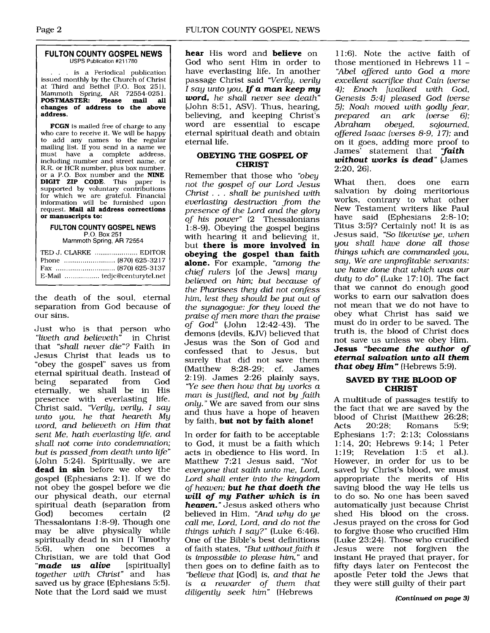## Page 2 FULTON COUNTY GOSPEL NEWS

#### <sup>1</sup>**FULTON COUNTY GOSPEL NEWS USPS** Publication #211780

.. is a Periodical publication issued monthly by the Church of Christ at Third and Bethel (P.O. Box 251), Mammoth Spring, AR 72554-025 1. **POSTMASTER: Please mail all changes of address to the above address.** 

**FCGN** is mailed free of charge to any who care to receive it. We will be happy to add any names to the regular mailing list. If you send in a name we must have a complete address, including number and street name, or R.R. or HCR number, plus box number, or a P.O. Box number and the **NINE DIGIT ZIP CODE.** This paper is supported by voluntary contributions for which we are grateful. Financial information will be furnished upon request. **Mail all address corrections or manuscripts to:** 

#### **FULTON COUNTY GOSPEL NEWS**  P.O. Box 251 Mammoth Spring, AR 72554

TED J. CLARKE ..................... EDlTOR Phone ......................... (870) 625-32 1 7 Fax ............................. (870) 625-3137

E-Mail ................. tedjc@centurytel.net

the death of the soul, eternal separation from God because of our sins.

Just who is that person who *"liveth and believeth"* in Christ that *"shall never die"?* Faith in Jesus Christ that leads us to "obey the gospel" saves us from eternal spiritual death. Instead of<br>being separated from God separated eternally, we shall be in His presence with everlasting life. Christ said, *"Verily, verily, I say unto you, he that heareth My word, and believeth on Him that*  sent Me, hath everlasting life, and *shall not come into condemnation; but is passed from death unto life"*  (John 5:24). Spiritually, we are **dead in sin** before we obey the gospel (Ephesians 2:l). If we do not obey the gospel before we die our physical death, our eternal spiritual death (separation from<br>God) becomes certain (2 becomes b Thessalonians 1:8-9). Though one may be alive physically while spiritually dead in sin (1 Timothy<br>5.6) when one becomes a 5:6), when one becomes Christian, we are told that God *"made* us *alive* [spirituallyl *together with Christ"* and has saved us by grace (Ephesians 5:5). Note that the Lord said we must

**hear** His word and **believe** on God who sent Him in order to have everlasting life. In another passage Christ said *"Verily, verily*  I *say unto you, If a man keep my word, he shall never see death"*  (John 8:51, ASV). Thus, hearing, believing, and keeping Christ's word are essential to escape eternal spiritual death and obtain eternal life.

## **OBEYING THE GOSPEL OF CHRIST**

Remember that those who *"obey not the gospel of our Lord Jesus Christ* ... *shall be punished with everlasting destruction from the presence of the Lord and the glory of his power"* (2 Thessalonians 1:8-9). Obeying the gospel begins with hearing it and believing it, but **there is more involved in obeying the gospel than faith alone.** For example, *"among the chief rulers* [of the Jews] *many believed on him; but because of the Pharisees they did not confess him, lest they should be put out of the synagogue: for they loved the praise of men more than the praise of God"* (John 12:42-43). The demons (devils, KJV) believed that Jesus was the Son of God and confessed that to Jesus, but surely that did not save them (Matthew 8:28-29; cf. James 2: 19). James 2:26 plainly says, *"Ye see then how that by works a man is justified, and not by faith only."* We are saved from our sins and thus have a hope of heaven by faith, **but not by faith alone!** 

In order for faith to be acceptable to God, it must be a faith which acts in obedience to His word. In Matthew 7:21 Jesus said, *"Not everyone that saith unto me, Lord, Lord shall enter into the kingdom of heaven; but he that doeth the will of my Father which* **is** *in heaven."* Jesus asked others who believed in Him, *"And why do ye call me, Lord, Lord, and do not the things which 1 say?"* (Luke 6:46). One of the Bible's best definitions of faith states, *"But without faith it*  **is** *impossible to please him,* " and then goes on to define faith as to *"believe that* [God] is, *and that he is a rewarder of them that diligently seek him"* (Hebrews

11:6). Note the active faith of those mentioned in Hebrews 11 - *"Abel oBered unto God a more excellent sacriice that Cain (verse 4); Enoch [walked with God, Genesis 5:41 pleased God (verse 5); Noah moved with godly fear, prepared an ark*<br>*Abraham obeued. Abraham obeyed, sojourned, oflered Isaac (verses 8-9,* 17); and on it goes, adding more proof to James' statement that *"faith without works* **is** *dead"* (James 2:20, 26).

What then, does one earn salvation by doing meritorious works, contrary to what other New Testament writers like Paul have said (Ephesians 2:8-10; Titus 3:5)? Certainly not! It is as Jesus said, *"So likewise ye, when you shall have done all those things which are commanded you,*  say, We are unprofitable servants: *we have done that which was our duty to do"* (Luke 17: 10). The fact that we cannot do enough good works to earn our salvation does not mean that we do not have to obey what Christ has said we must do in order to be saved. The truth is, the blood of Christ does not save us unless we obey Him. **Jesus** *"became the author of eternal salvation unto all them that obey Him"* (Hebrews 5:9).

## **SAVED BY THE BLOOD OF CHRIST**

A multitude of passages testify to the fact that we are saved by the blood of Christ (Matthew 26:28;<br>Acts 20:28: Romans 5:9: Romans Ephesians 1:7; 2:13; Colossians 1:14, 20; Hebrews 9:14; 1 Peter<br>1:19: Revelation 1:5 et al.). Revelation 1:5 et al.). However, in order for us to be saved by Christ's blood, we must appropriate the merits of His saving blood the way He tells us to do so. No one has been saved automatically just because Christ shed His blood on the cross. Jesus prayed on the cross for God to forgive those who crucified Him (Luke 23:24). Those who crucified Jesus were not forgiven the instant He prayed that prayer, for fifty days later on Pentecost the apostle Peter told the Jews that they were still guilty of their part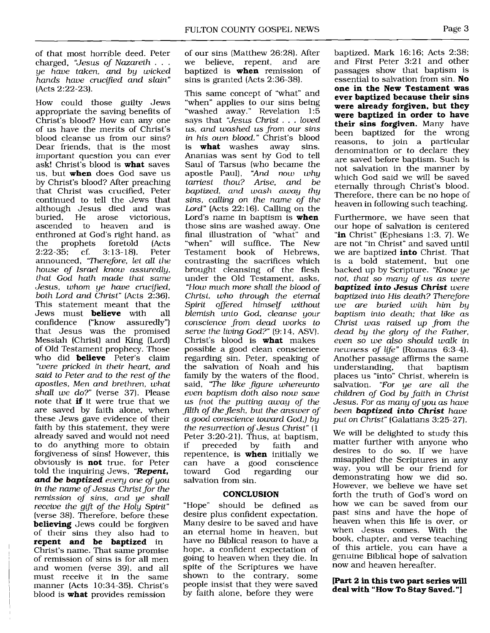of that most horrible deed. Peter<br>charged. "Jesus of Nazareth . . . ye have taken, and by wicked hands have crucfied and slain" (Acts 2:22-23).

How could those guilty Jews appropriate the saving benefits of Christ's blood? How can any one of us have the merits of Christ's blood cleanse us from our sins? Dear friends, that is the most important question you can ever ask! Christ's blood is **what** saves us, but **when** does God save us by Christ's blood? After preaching that Christ was crucified, Peter continued to tell the Jews that although Jesus died and was<br>buried. He arose victorious. He arose victorious,<br>I to heaven and is ascended to heaven and enthroned at God's right hand, as<br>the prophets foretold (Acts the prophets foretold (Acts<br>2:22-35: cf. 3:13-18). Peter  $3:13-18$ . announced, 'Therefore, let all the house of Israel know assuredly, that God hath made that same Jesus, whom ye have crucified, both Lord and **Christ"** (Acts 2:36). This statement meant that the<br>Jews must **believe** with all Jews must **believe** with confidence ("know assuredly") that Jesus was the promised Messiah (Christ) and King (Lord) of Old Testament prophecy. Those who did **believe** Peter's claim "were pricked in their heart, and said to Peter and to the rest of the apostles, Men and brethren, what shall we do?" (verse 37). Please note that **if** it were true that we are saved by faith alone, when these Jews gave evidence of their faith by this statement, they were already saved and would not need to do anything more to obtain forgiveness of sins! However, this obviously is **not** true, for Peter told the inquiring Jews, **"Repent, and** be **baptized** every one of you in the name of Jesus Christ for the remission of sins, and ye shall receive the gift of the Holy Spirit" (verse 38). Therefore, before these **believing** Jews could be forgiven of their sins they also had to **repent and be baptized** in Christ's name. That same promise of remission of sins is for all men and women (verse 39), and all

must receive it in the same manner (Acts 10:34-35). Christ's blood is **what** provides remission

of our sins (Matthew 26:28). After<br>we believe. repent. and are believe, repent, and are baptized is **when** remission of sins is granted (Acts 2:36-38).

This same concept of "what" and "when" applies to our sins being "washed away." Revelation 1:5 says that "Jesus Christ . . . loved us, and washed us from our sins in his own blood." Christ's blood<br>is **what** washes away sins. **what** washes away Ananias was sent by God to tell Saul of Tarsus (who became the apostle Paul), "And now why tarriest thou? Arise, and be baptized, and wash awag thy sins, calling on the name of the Lord" (Acts 22: 16). Calling on the Lord's name in baptism is **when**  those sins are washed away. One final illustration of "what" and "when" will suffice. The New Testament book of Hebrews, contrasting the sacrifices which brought cleansing of the flesh under the Old Testament, asks, "How much more shall the blood of Christ, who through the eternal Spirit offered himself without blemish unto God, cleanse your conscience from dead works to serve the living God?" (9:14, ASV). Christ's blood is **what** makes possible a good clean conscience regarding sin. Peter, speaking of the salvation of Noah and his family by the waters of the flood, said, "The like figure whereunto even baptism doth also now save us (not the putting away of the filth of the jlesh, but the answer of a good conscience toward God,) by the resurrection of Jesus Christ" (1 Peter 3:20-21). Thus, at baptism,<br>if preceded by faith and preceded by faith and repentence, is **when** initially we can have a good conscience regarding salvation from sin.

## **CONCLUSION**

"Hope" should be defined as desire plus confident expectation. Many desire to be saved and have an eternal home in heaven, but have no Biblical reason to have a hope, a confident expectation of going to heaven when they die. In spite of the Scriptures we have shown to the contrary, some people insist that they were saved by faith alone, before they were

baptized. Mark 16: 16; Acts 2:38; and First Peter 3:21 and other passages show that baptism is essential to salvation from sin. **No one in the New Testament was ever baptized because their sins were already forgiven, but they were baptized in order to have their sins forgiven.** Many have been baptized for the wrong reasons, to join a particular denomination or to declare they are saved before baptism. Such is not salvation in the manner by which God said we will be saved eternally through Christ's blood. Therefore, there can be no hope of heaven in following such teaching.

Furthermore, we have seen that our hope of salvation is centered "in Christ" (Ephesians 1:3, 7). We are not "in Christ" and saved until we are baptized **into** Christ. That is a bold statement, but one backed up by Scripture. "Know ye not, that so many of **us as** were **baptized into Jesus Christ** were baptized into **His** death? Therefore we are buried with him by baptism into death; that like as Christ was raised up from the dead by the glory of the Father, even so we also should walk in newness of life" (Romans 6:3-4). Another passage affirms the same understanding, that baptism places us "into" Christ, wherein is salvation. "For ye are all the children of God by faith in Christ Jesus. For as many of you as have been **baptized into Christ** have put on Christ" (Galatians 3:25-27).

We will be delighted to study this matter further with anyone who desires to do so. If we have misapplied the Scriptures in any way, you will be our friend for demonstrating how we did so. However, we believe we have set forth the truth of God's word on how we can be saved from our past sins and have the hope of heaven when this life is over, or when Jesus comes. With the book, chapter, and verse teaching of this article, you can have a genuine Biblical hope of salvation now and heaven hereafter.

#### **[Part 2 in this two part series will deal with "How To Stay Saved. "1**